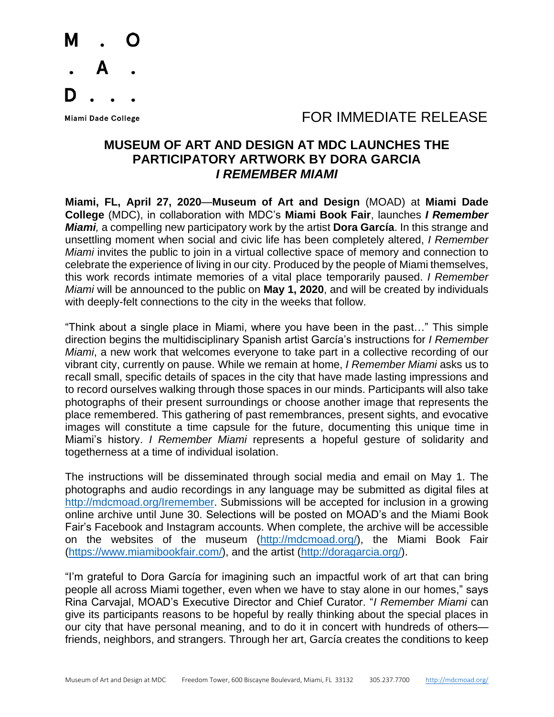

#### Miami Dade College The Second Line of the Second Line of Table To Refer to Table To Release

#### **MUSEUM OF ART AND DESIGN AT MDC LAUNCHES THE PARTICIPATORY ARTWORK BY DORA GARCIA** *I REMEMBER MIAMI*

**Miami, FL, April 27, 2020**—**Museum of Art and Design** (MOAD) at **Miami Dade College** (MDC), in collaboration with MDC's **Miami Book Fair**, launches *I Remember Miami,* a compelling new participatory work by the artist **Dora García**. In this strange and unsettling moment when social and civic life has been completely altered, *I Remember Miami* invites the public to join in a virtual collective space of memory and connection to celebrate the experience of living in our city. Produced by the people of Miami themselves, this work records intimate memories of a vital place temporarily paused. *I Remember Miami* will be announced to the public on **May 1, 2020**, and will be created by individuals with deeply-felt connections to the city in the weeks that follow.

"Think about a single place in Miami, where you have been in the past…" This simple direction begins the multidisciplinary Spanish artist García's instructions for *I Remember Miami*, a new work that welcomes everyone to take part in a collective recording of our vibrant city, currently on pause. While we remain at home, *I Remember Miami* asks us to recall small, specific details of spaces in the city that have made lasting impressions and to record ourselves walking through those spaces in our minds. Participants will also take photographs of their present surroundings or choose another image that represents the place remembered. This gathering of past remembrances, present sights, and evocative images will constitute a time capsule for the future, documenting this unique time in Miami's history. *I Remember Miami* represents a hopeful gesture of solidarity and togetherness at a time of individual isolation.

The instructions will be disseminated through social media and email on May 1. The photographs and audio recordings in any language may be submitted as digital files at [http://mdcmoad.org/Iremember.](http://mdcmoad.org/Iremember) Submissions will be accepted for inclusion in a growing online archive until June 30. Selections will be posted on MOAD's and the Miami Book Fair's Facebook and Instagram accounts. When complete, the archive will be accessible on the websites of the museum [\(http://mdcmoad.org/\)](http://mdcmoad.org/), the Miami Book Fair (https://www.miamibookfair[.com/](https://www.miamibookfair.com/)), and the artist [\(http://doragarcia.org/\)](http://doragarcia.org/).

"I'm grateful to Dora García for imagining such an impactful work of art that can bring people all across Miami together, even when we have to stay alone in our homes," says Rina Carvajal, MOAD's Executive Director and Chief Curator. "*I Remember Miami* can give its participants reasons to be hopeful by really thinking about the special places in our city that have personal meaning, and to do it in concert with hundreds of others friends, neighbors, and strangers. Through her art, García creates the conditions to keep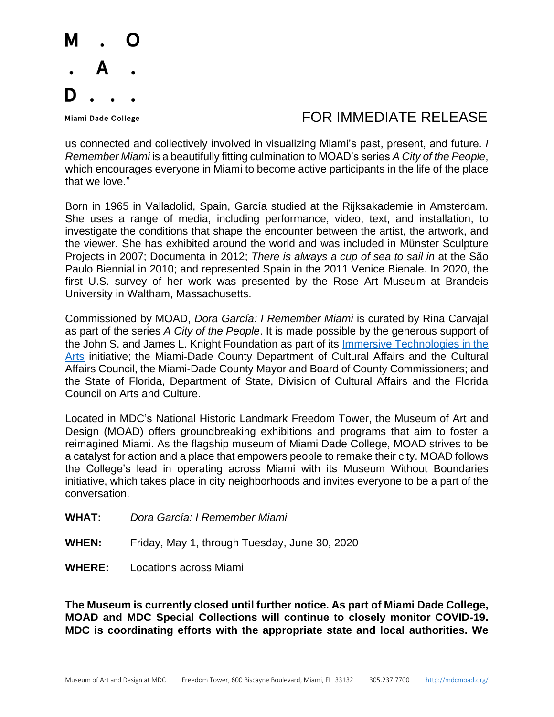

## Miami Dade College The Second Line of the Second Line of Table To Refer to Table To Release

us connected and collectively involved in visualizing Miami's past, present, and future. *I Remember Miami* is a beautifully fitting culmination to MOAD's series *A City of the People*, which encourages everyone in Miami to become active participants in the life of the place that we love."

Born in 1965 in Valladolid, Spain, García studied at the Rijksakademie in Amsterdam. She uses a range of media, including performance, video, text, and installation, to investigate the conditions that shape the encounter between the artist, the artwork, and the viewer. She has exhibited around the world and was included in Münster Sculpture Projects in 2007; Documenta in 2012; *There is always a cup of sea to sail in* at the São Paulo Biennial in 2010; and represented Spain in the 2011 Venice Bienale. In 2020, the first U.S. survey of her work was presented by the Rose Art Museum at Brandeis University in Waltham, Massachusetts.

Commissioned by MOAD, *Dora García: I Remember Miami* is curated by Rina Carvajal as part of the series *A City of the People*. It is made possible by the generous support of the John S. and James L. Knight Foundation as part of its [Immersive Technologies in the](about:blank)  [Arts](about:blank) initiative; the Miami-Dade County Department of Cultural Affairs and the Cultural Affairs Council, the Miami-Dade County Mayor and Board of County Commissioners; and the State of Florida, Department of State, Division of Cultural Affairs and the Florida Council on Arts and Culture.

Located in MDC's National Historic Landmark Freedom Tower, the Museum of Art and Design (MOAD) offers groundbreaking exhibitions and programs that aim to foster a reimagined Miami. As the flagship museum of Miami Dade College, MOAD strives to be a catalyst for action and a place that empowers people to remake their city. MOAD follows the College's lead in operating across Miami with its Museum Without Boundaries initiative, which takes place in city neighborhoods and invites everyone to be a part of the conversation.

- **WHAT:** *Dora García: I Remember Miami*
- **WHEN:** Friday, May 1, through Tuesday, June 30, 2020
- **WHERE:** Locations across Miami

**The Museum is currently closed until further notice. As part of Miami Dade College, MOAD and MDC Special Collections will continue to closely monitor COVID-19. MDC is coordinating efforts with the appropriate state and local authorities. We**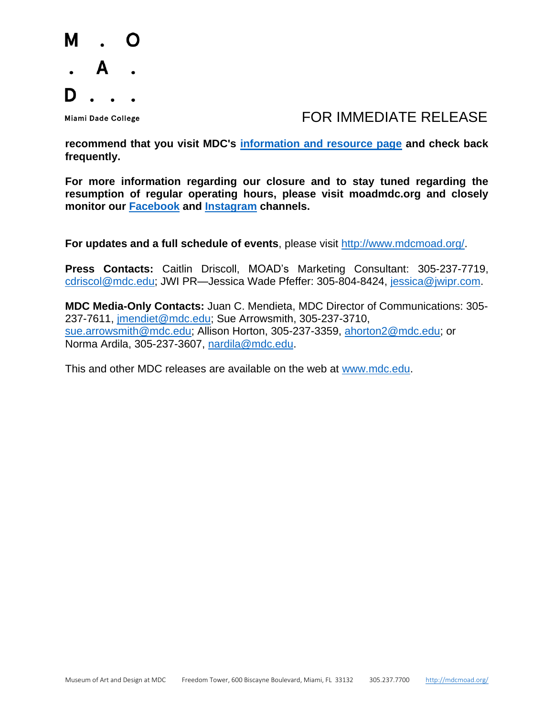

#### Miami Dade College The Second Line of the Second Line of Table To Refer to Table To Release

**recommend that you visit MDC's [information and resource page](about:blank) and check back frequently.**

**For more information regarding our closure and to stay tuned regarding the resumption of regular operating hours, please visit moadmdc.org and closely monitor our [Facebook](about:blank) and [Instagram](about:blank) channels.**

**For updates and a full schedule of events**, please visit [http://www.mdcmoad.org/.](about:blank)

**Press Contacts:** Caitlin Driscoll, MOAD's Marketing Consultant: 305-237-7719, [cdriscol@mdc.edu;](about:blank) JWI PR—Jessica Wade Pfeffer: 305-804-8424, [jessica@jwipr.com.](about:blank)

**MDC Media-Only Contacts:** Juan C. Mendieta, MDC Director of Communications: 305- 237-7611, [jmendiet@mdc.edu;](about:blank) Sue Arrowsmith, 305-237-3710, [sue.arrowsmith@mdc.edu;](about:blank) Allison Horton, 305-237-3359, [ahorton2@mdc.edu;](about:blank) or Norma Ardila, 305-237-3607, [nardila@mdc.edu.](about:blank)

This and other MDC releases are available on the web at [www.mdc.edu.](about:blank)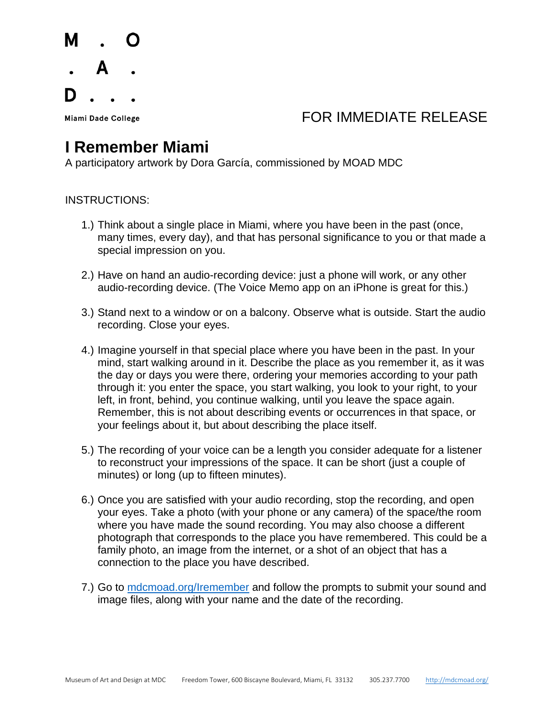## Miami Dade College The College College College The College The College The Top To FOR IMMEDIATE RELEASE

# **I Remember Miami**

A participatory artwork by Dora García, commissioned by MOAD MDC

#### INSTRUCTIONS:

- 1.) Think about a single place in Miami, where you have been in the past (once, many times, every day), and that has personal significance to you or that made a special impression on you.
- 2.) Have on hand an audio-recording device: just a phone will work, or any other audio-recording device. (The Voice Memo app on an iPhone is great for this.)
- 3.) Stand next to a window or on a balcony. Observe what is outside. Start the audio recording. Close your eyes.
- 4.) Imagine yourself in that special place where you have been in the past. In your mind, start walking around in it. Describe the place as you remember it, as it was the day or days you were there, ordering your memories according to your path through it: you enter the space, you start walking, you look to your right, to your left, in front, behind, you continue walking, until you leave the space again. Remember, this is not about describing events or occurrences in that space, or your feelings about it, but about describing the place itself.
- 5.) The recording of your voice can be a length you consider adequate for a listener to reconstruct your impressions of the space. It can be short (just a couple of minutes) or long (up to fifteen minutes).
- 6.) Once you are satisfied with your audio recording, stop the recording, and open your eyes. Take a photo (with your phone or any camera) of the space/the room where you have made the sound recording. You may also choose a different photograph that corresponds to the place you have remembered. This could be a family photo, an image from the internet, or a shot of an object that has a connection to the place you have described.
- 7.) Go to mdcmoad.org/Iremember and follow the prompts to submit your sound and image files, along with your name and the date of the recording.